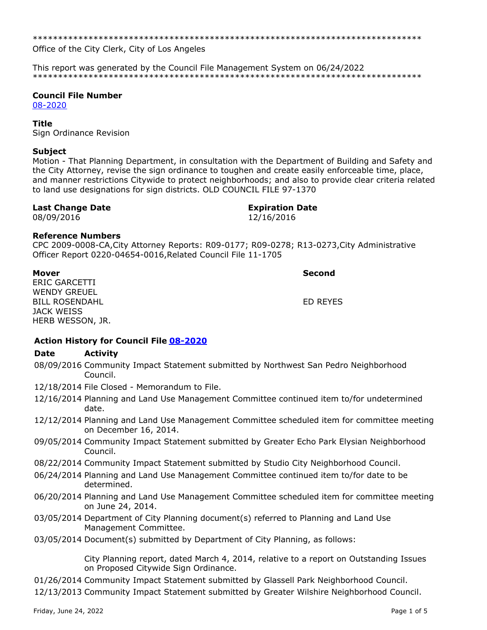\*\*\*\*\*\*\*\*\*\*\*\*\*\*\*\*\*\*\*\*\*\*\*\*\*\*\*\*\*\*\*\*\*\*\*\*\*\*\*\*\*\*\*\*\*\*\*\*\*\*\*\*\*\*\*\*\*\*\*\*\*\*\*\*\*\*\*\*\*\*\*\*\*\*\*\*\*

Office of the City Clerk, City of Los Angeles

This report was generated by the Council File Management System on 06/24/2022 \*\*\*\*\*\*\*\*\*\*\*\*\*\*\*\*\*\*\*\*\*\*\*\*\*\*\*\*\*\*\*\*\*\*\*\*\*\*\*\*\*\*\*\*\*\*\*\*\*\*\*\*\*\*\*\*\*\*\*\*\*\*\*\*\*\*\*\*\*\*\*\*\*\*\*\*\*

#### **Council File Number**

[08-2020](https://cityclerk.lacity.org/lacityclerkconnect/index.cfm?fa=ccfi.viewrecord&cfnumber=08-2020)

### **Title**

Sign Ordinance Revision

## **Subject**

Motion - That Planning Department, in consultation with the Department of Building and Safety and the City Attorney, revise the sign ordinance to toughen and create easily enforceable time, place, and manner restrictions Citywide to protect neighborhoods; and also to provide clear criteria related to land use designations for sign districts. OLD COUNCIL FILE 97-1370

## **Last Change Date Expiration Date**

# 08/09/2016 12/16/2016

# **Reference Numbers**

CPC 2009-0008-CA,City Attorney Reports: R09-0177; R09-0278; R13-0273,City Administrative Officer Report 0220-04654-0016,Related Council File 11-1705

ERIC GARCETTI WENDY GREUEL BILL ROSENDAHL JACK WEISS HERB WESSON, JR.

**Mover Second**

ED REYES

# **Action History for Council File [08-2020](https://cityclerk.lacity.org/lacityclerkconnect/index.cfm?fa=ccfi.viewrecord&cfnumber=08-2020)**

#### **Date Activity**

- 08/09/2016 Community Impact Statement submitted by Northwest San Pedro Neighborhood Council.
- 12/18/2014 File Closed Memorandum to File.
- 12/16/2014 Planning and Land Use Management Committee continued item to/for undetermined date.
- 12/12/2014 Planning and Land Use Management Committee scheduled item for committee meeting on December 16, 2014.
- 09/05/2014 Community Impact Statement submitted by Greater Echo Park Elysian Neighborhood Council.
- 08/22/2014 Community Impact Statement submitted by Studio City Neighborhood Council.
- 06/24/2014 Planning and Land Use Management Committee continued item to/for date to be determined.
- 06/20/2014 Planning and Land Use Management Committee scheduled item for committee meeting on June 24, 2014.
- 03/05/2014 Department of City Planning document(s) referred to Planning and Land Use Management Committee.
- 03/05/2014 Document(s) submitted by Department of City Planning, as follows:

City Planning report, dated March 4, 2014, relative to a report on Outstanding Issues on Proposed Citywide Sign Ordinance.

- 01/26/2014 Community Impact Statement submitted by Glassell Park Neighborhood Council.
- 12/13/2013 Community Impact Statement submitted by Greater Wilshire Neighborhood Council.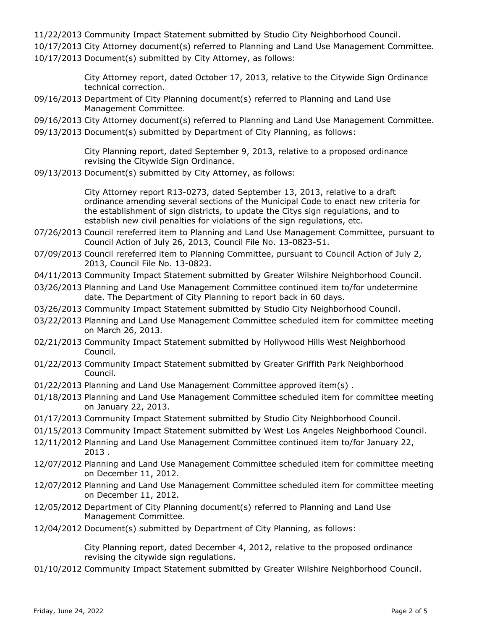- 11/22/2013 Community Impact Statement submitted by Studio City Neighborhood Council.
- 10/17/2013 City Attorney document(s) referred to Planning and Land Use Management Committee.
- 10/17/2013 Document(s) submitted by City Attorney, as follows:

City Attorney report, dated October 17, 2013, relative to the Citywide Sign Ordinance technical correction.

- 09/16/2013 Department of City Planning document(s) referred to Planning and Land Use Management Committee.
- 09/16/2013 City Attorney document(s) referred to Planning and Land Use Management Committee.
- 09/13/2013 Document(s) submitted by Department of City Planning, as follows:

City Planning report, dated September 9, 2013, relative to a proposed ordinance revising the Citywide Sign Ordinance.

09/13/2013 Document(s) submitted by City Attorney, as follows:

City Attorney report R13-0273, dated September 13, 2013, relative to a draft ordinance amending several sections of the Municipal Code to enact new criteria for the establishment of sign districts, to update the Citys sign regulations, and to establish new civil penalties for violations of the sign regulations, etc.

- 07/26/2013 Council rereferred item to Planning and Land Use Management Committee, pursuant to Council Action of July 26, 2013, Council File No. 13-0823-S1.
- 07/09/2013 Council rereferred item to Planning Committee, pursuant to Council Action of July 2, 2013, Council File No. 13-0823.
- 04/11/2013 Community Impact Statement submitted by Greater Wilshire Neighborhood Council.
- 03/26/2013 Planning and Land Use Management Committee continued item to/for undetermine date. The Department of City Planning to report back in 60 days.
- 03/26/2013 Community Impact Statement submitted by Studio City Neighborhood Council.
- 03/22/2013 Planning and Land Use Management Committee scheduled item for committee meeting on March 26, 2013.
- 02/21/2013 Community Impact Statement submitted by Hollywood Hills West Neighborhood Council.
- 01/22/2013 Community Impact Statement submitted by Greater Griffith Park Neighborhood Council.
- 01/22/2013 Planning and Land Use Management Committee approved item(s) .
- 01/18/2013 Planning and Land Use Management Committee scheduled item for committee meeting on January 22, 2013.
- 01/17/2013 Community Impact Statement submitted by Studio City Neighborhood Council.
- 01/15/2013 Community Impact Statement submitted by West Los Angeles Neighborhood Council.
- 12/11/2012 Planning and Land Use Management Committee continued item to/for January 22, 2013 .
- 12/07/2012 Planning and Land Use Management Committee scheduled item for committee meeting on December 11, 2012.
- 12/07/2012 Planning and Land Use Management Committee scheduled item for committee meeting on December 11, 2012.
- 12/05/2012 Department of City Planning document(s) referred to Planning and Land Use Management Committee.
- 12/04/2012 Document(s) submitted by Department of City Planning, as follows:

City Planning report, dated December 4, 2012, relative to the proposed ordinance revising the citywide sign regulations.

01/10/2012 Community Impact Statement submitted by Greater Wilshire Neighborhood Council.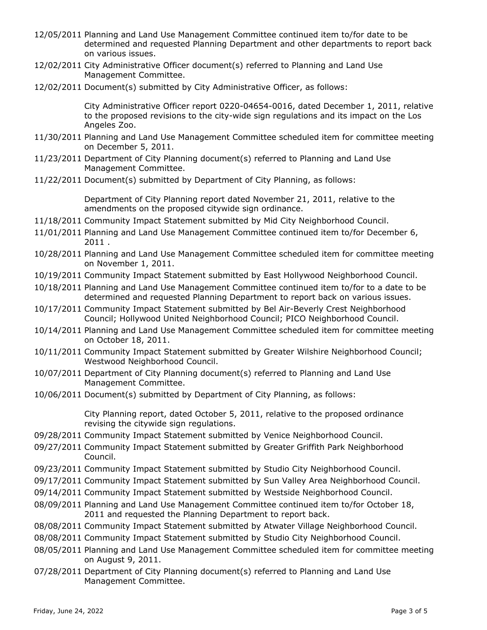- 12/05/2011 Planning and Land Use Management Committee continued item to/for date to be determined and requested Planning Department and other departments to report back on various issues. 12/02/2011 City Administrative Officer document(s) referred to Planning and Land Use Management Committee. 12/02/2011 Document(s) submitted by City Administrative Officer, as follows: City Administrative Officer report 0220-04654-0016, dated December 1, 2011, relative to the proposed revisions to the city-wide sign regulations and its impact on the Los Angeles Zoo. 11/30/2011 Planning and Land Use Management Committee scheduled item for committee meeting on December 5, 2011. 11/23/2011 Department of City Planning document(s) referred to Planning and Land Use Management Committee. 11/22/2011 Document(s) submitted by Department of City Planning, as follows: Department of City Planning report dated November 21, 2011, relative to the amendments on the proposed citywide sign ordinance. 11/18/2011 Community Impact Statement submitted by Mid City Neighborhood Council. 11/01/2011 Planning and Land Use Management Committee continued item to/for December 6, 2011 . 10/28/2011 Planning and Land Use Management Committee scheduled item for committee meeting on November 1, 2011. 10/19/2011 Community Impact Statement submitted by East Hollywood Neighborhood Council. 10/18/2011 Planning and Land Use Management Committee continued item to/for to a date to be determined and requested Planning Department to report back on various issues. 10/17/2011 Community Impact Statement submitted by Bel Air-Beverly Crest Neighborhood Council; Hollywood United Neighborhood Council; PICO Neighborhood Council. 10/14/2011 Planning and Land Use Management Committee scheduled item for committee meeting on October 18, 2011. 10/11/2011 Community Impact Statement submitted by Greater Wilshire Neighborhood Council; Westwood Neighborhood Council. 10/07/2011 Department of City Planning document(s) referred to Planning and Land Use Management Committee. 10/06/2011 Document(s) submitted by Department of City Planning, as follows: City Planning report, dated October 5, 2011, relative to the proposed ordinance revising the citywide sign regulations. 09/28/2011 Community Impact Statement submitted by Venice Neighborhood Council. 09/27/2011 Community Impact Statement submitted by Greater Griffith Park Neighborhood Council. 09/23/2011 Community Impact Statement submitted by Studio City Neighborhood Council. 09/17/2011 Community Impact Statement submitted by Sun Valley Area Neighborhood Council. 09/14/2011 Community Impact Statement submitted by Westside Neighborhood Council. 08/09/2011 Planning and Land Use Management Committee continued item to/for October 18, 2011 and requested the Planning Department to report back. 08/08/2011 Community Impact Statement submitted by Atwater Village Neighborhood Council. 08/08/2011 Community Impact Statement submitted by Studio City Neighborhood Council. 08/05/2011 Planning and Land Use Management Committee scheduled item for committee meeting on August 9, 2011.
- 07/28/2011 Department of City Planning document(s) referred to Planning and Land Use Management Committee.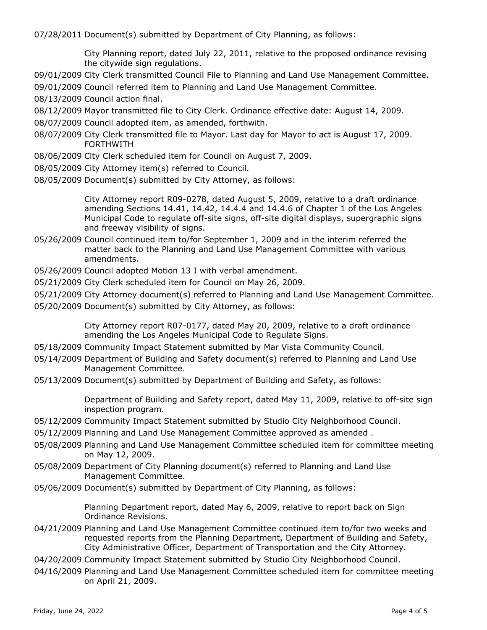07/28/2011 Document(s) submitted by Department of City Planning, as follows:

City Planning report, dated July 22, 2011, relative to the proposed ordinance revising the citywide sign regulations.

09/01/2009 City Clerk transmitted Council File to Planning and Land Use Management Committee.

09/01/2009 Council referred item to Planning and Land Use Management Committee.

08/13/2009 Council action final.

- 08/12/2009 Mayor transmitted file to City Clerk. Ordinance effective date: August 14, 2009.
- 08/07/2009 Council adopted item, as amended, forthwith.
- 08/07/2009 City Clerk transmitted file to Mayor. Last day for Mayor to act is August 17, 2009. FORTHWITH
- 08/06/2009 City Clerk scheduled item for Council on August 7, 2009.
- 08/05/2009 City Attorney item(s) referred to Council.
- 08/05/2009 Document(s) submitted by City Attorney, as follows:

City Attorney report R09-0278, dated August 5, 2009, relative to a draft ordinance amending Sections 14.41, 14.42, 14.4.4 and 14.4.6 of Chapter 1 of the Los Angeles Municipal Code to regulate off-site signs, off-site digital displays, supergraphic signs and freeway visibility of signs.

- 05/26/2009 Council continued item to/for September 1, 2009 and in the interim referred the matter back to the Planning and Land Use Management Committee with various amendments.
- 05/26/2009 Council adopted Motion 13 I with verbal amendment.
- 05/21/2009 City Clerk scheduled item for Council on May 26, 2009.
- 05/21/2009 City Attorney document(s) referred to Planning and Land Use Management Committee.
- 05/20/2009 Document(s) submitted by City Attorney, as follows:

City Attorney report R07-0177, dated May 20, 2009, relative to a draft ordinance amending the Los Angeles Municipal Code to Regulate Signs.

- 05/18/2009 Community Impact Statement submitted by Mar Vista Community Council.
- 05/14/2009 Department of Building and Safety document(s) referred to Planning and Land Use Management Committee.
- 05/13/2009 Document(s) submitted by Department of Building and Safety, as follows:

Department of Building and Safety report, dated May 11, 2009, relative to off-site sign inspection program.

- 05/12/2009 Community Impact Statement submitted by Studio City Neighborhood Council.
- 05/12/2009 Planning and Land Use Management Committee approved as amended .
- 05/08/2009 Planning and Land Use Management Committee scheduled item for committee meeting on May 12, 2009.
- 05/08/2009 Department of City Planning document(s) referred to Planning and Land Use Management Committee.
- 05/06/2009 Document(s) submitted by Department of City Planning, as follows:

Planning Department report, dated May 6, 2009, relative to report back on Sign Ordinance Revisions.

- 04/21/2009 Planning and Land Use Management Committee continued item to/for two weeks and requested reports from the Planning Department, Department of Building and Safety, City Administrative Officer, Department of Transportation and the City Attorney.
- 04/20/2009 Community Impact Statement submitted by Studio City Neighborhood Council.
- 04/16/2009 Planning and Land Use Management Committee scheduled item for committee meeting on April 21, 2009.